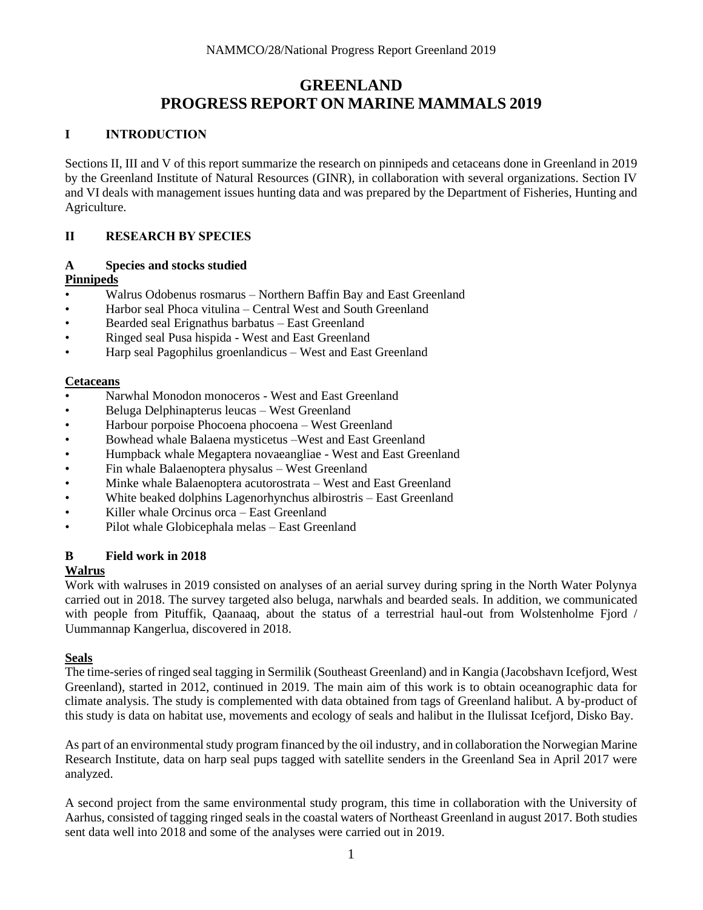# **GREENLAND PROGRESS REPORT ON MARINE MAMMALS 2019**

## **I INTRODUCTION**

Sections II, III and V of this report summarize the research on pinnipeds and cetaceans done in Greenland in 2019 by the Greenland Institute of Natural Resources (GINR), in collaboration with several organizations. Section IV and VI deals with management issues hunting data and was prepared by the Department of Fisheries, Hunting and Agriculture.

## **II RESEARCH BY SPECIES**

## **A Species and stocks studied**

#### **Pinnipeds**

- Walrus Odobenus rosmarus Northern Baffin Bay and East Greenland
- Harbor seal Phoca vitulina Central West and South Greenland
- Bearded seal Erignathus barbatus East Greenland
- Ringed seal Pusa hispida West and East Greenland
- Harp seal Pagophilus groenlandicus West and East Greenland

#### **Cetaceans**

- Narwhal Monodon monoceros West and East Greenland
- Beluga Delphinapterus leucas West Greenland
- Harbour porpoise Phocoena phocoena West Greenland
- Bowhead whale Balaena mysticetus –West and East Greenland
- Humpback whale Megaptera novaeangliae West and East Greenland
- Fin whale Balaenoptera physalus West Greenland
- Minke whale Balaenoptera acutorostrata West and East Greenland
- White beaked dolphins Lagenorhynchus albirostris East Greenland
- Killer whale Orcinus orca East Greenland
- Pilot whale Globicephala melas East Greenland

## **B Field work in 2018**

## **Walrus**

Work with walruses in 2019 consisted on analyses of an aerial survey during spring in the North Water Polynya carried out in 2018. The survey targeted also beluga, narwhals and bearded seals. In addition, we communicated with people from Pituffik, Qaanaaq, about the status of a terrestrial haul-out from Wolstenholme Fjord / Uummannap Kangerlua, discovered in 2018.

## **Seals**

The time-series of ringed seal tagging in Sermilik (Southeast Greenland) and in Kangia (Jacobshavn Icefjord, West Greenland), started in 2012, continued in 2019. The main aim of this work is to obtain oceanographic data for climate analysis. The study is complemented with data obtained from tags of Greenland halibut. A by-product of this study is data on habitat use, movements and ecology of seals and halibut in the Ilulissat Icefjord, Disko Bay.

As part of an environmental study program financed by the oil industry, and in collaboration the Norwegian Marine Research Institute, data on harp seal pups tagged with satellite senders in the Greenland Sea in April 2017 were analyzed.

A second project from the same environmental study program, this time in collaboration with the University of Aarhus, consisted of tagging ringed seals in the coastal waters of Northeast Greenland in august 2017. Both studies sent data well into 2018 and some of the analyses were carried out in 2019.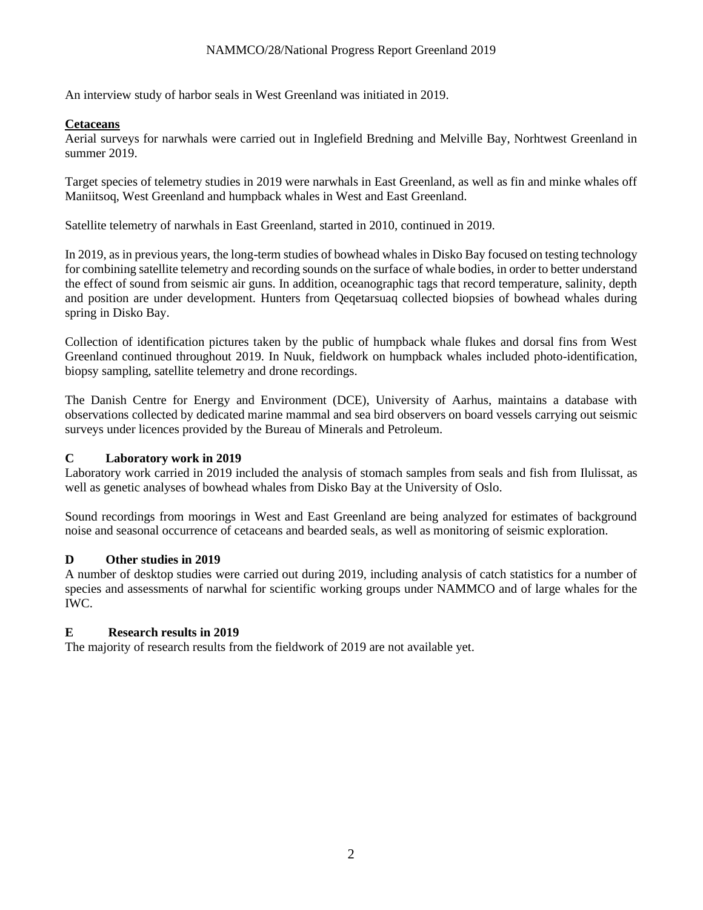An interview study of harbor seals in West Greenland was initiated in 2019.

# **Cetaceans**

Aerial surveys for narwhals were carried out in Inglefield Bredning and Melville Bay, Norhtwest Greenland in summer 2019.

Target species of telemetry studies in 2019 were narwhals in East Greenland, as well as fin and minke whales off Maniitsoq, West Greenland and humpback whales in West and East Greenland.

Satellite telemetry of narwhals in East Greenland, started in 2010, continued in 2019.

In 2019, as in previous years, the long-term studies of bowhead whales in Disko Bay focused on testing technology for combining satellite telemetry and recording sounds on the surface of whale bodies, in order to better understand the effect of sound from seismic air guns. In addition, oceanographic tags that record temperature, salinity, depth and position are under development. Hunters from Qeqetarsuaq collected biopsies of bowhead whales during spring in Disko Bay.

Collection of identification pictures taken by the public of humpback whale flukes and dorsal fins from West Greenland continued throughout 2019. In Nuuk, fieldwork on humpback whales included photo-identification, biopsy sampling, satellite telemetry and drone recordings.

The Danish Centre for Energy and Environment (DCE), University of Aarhus, maintains a database with observations collected by dedicated marine mammal and sea bird observers on board vessels carrying out seismic surveys under licences provided by the Bureau of Minerals and Petroleum.

## **C Laboratory work in 2019**

Laboratory work carried in 2019 included the analysis of stomach samples from seals and fish from Ilulissat, as well as genetic analyses of bowhead whales from Disko Bay at the University of Oslo.

Sound recordings from moorings in West and East Greenland are being analyzed for estimates of background noise and seasonal occurrence of cetaceans and bearded seals, as well as monitoring of seismic exploration.

## **D Other studies in 2019**

A number of desktop studies were carried out during 2019, including analysis of catch statistics for a number of species and assessments of narwhal for scientific working groups under NAMMCO and of large whales for the IWC.

## **E Research results in 2019**

The majority of research results from the fieldwork of 2019 are not available yet.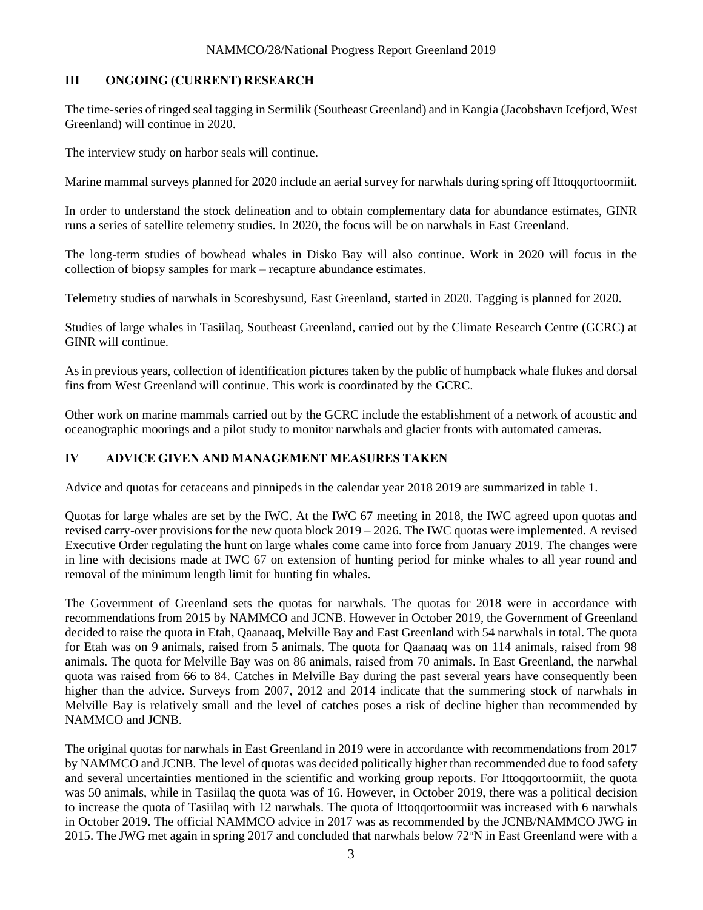# **III ONGOING (CURRENT) RESEARCH**

The time-series of ringed seal tagging in Sermilik (Southeast Greenland) and in Kangia (Jacobshavn Icefjord, West Greenland) will continue in 2020.

The interview study on harbor seals will continue.

Marine mammal surveys planned for 2020 include an aerial survey for narwhals during spring off Ittoqqortoormiit.

In order to understand the stock delineation and to obtain complementary data for abundance estimates, GINR runs a series of satellite telemetry studies. In 2020, the focus will be on narwhals in East Greenland.

The long-term studies of bowhead whales in Disko Bay will also continue. Work in 2020 will focus in the collection of biopsy samples for mark – recapture abundance estimates.

Telemetry studies of narwhals in Scoresbysund, East Greenland, started in 2020. Tagging is planned for 2020.

Studies of large whales in Tasiilaq, Southeast Greenland, carried out by the Climate Research Centre (GCRC) at GINR will continue.

As in previous years, collection of identification pictures taken by the public of humpback whale flukes and dorsal fins from West Greenland will continue. This work is coordinated by the GCRC.

Other work on marine mammals carried out by the GCRC include the establishment of a network of acoustic and oceanographic moorings and a pilot study to monitor narwhals and glacier fronts with automated cameras.

# **IV ADVICE GIVEN AND MANAGEMENT MEASURES TAKEN**

Advice and quotas for cetaceans and pinnipeds in the calendar year 2018 2019 are summarized in table 1.

Quotas for large whales are set by the IWC. At the IWC 67 meeting in 2018, the IWC agreed upon quotas and revised carry-over provisions for the new quota block 2019 – 2026. The IWC quotas were implemented. A revised Executive Order regulating the hunt on large whales come came into force from January 2019. The changes were in line with decisions made at IWC 67 on extension of hunting period for minke whales to all year round and removal of the minimum length limit for hunting fin whales.

The Government of Greenland sets the quotas for narwhals. The quotas for 2018 were in accordance with recommendations from 2015 by NAMMCO and JCNB. However in October 2019, the Government of Greenland decided to raise the quota in Etah, Qaanaaq, Melville Bay and East Greenland with 54 narwhals in total. The quota for Etah was on 9 animals, raised from 5 animals. The quota for Qaanaaq was on 114 animals, raised from 98 animals. The quota for Melville Bay was on 86 animals, raised from 70 animals. In East Greenland, the narwhal quota was raised from 66 to 84. Catches in Melville Bay during the past several years have consequently been higher than the advice. Surveys from 2007, 2012 and 2014 indicate that the summering stock of narwhals in Melville Bay is relatively small and the level of catches poses a risk of decline higher than recommended by NAMMCO and JCNB.

The original quotas for narwhals in East Greenland in 2019 were in accordance with recommendations from 2017 by NAMMCO and JCNB. The level of quotas was decided politically higher than recommended due to food safety and several uncertainties mentioned in the scientific and working group reports. For Ittoqqortoormiit, the quota was 50 animals, while in Tasiilaq the quota was of 16. However, in October 2019, there was a political decision to increase the quota of Tasiilaq with 12 narwhals. The quota of Ittoqqortoormiit was increased with 6 narwhals in October 2019. The official NAMMCO advice in 2017 was as recommended by the JCNB/NAMMCO JWG in 2015. The JWG met again in spring 2017 and concluded that narwhals below  $72^{\circ}$ N in East Greenland were with a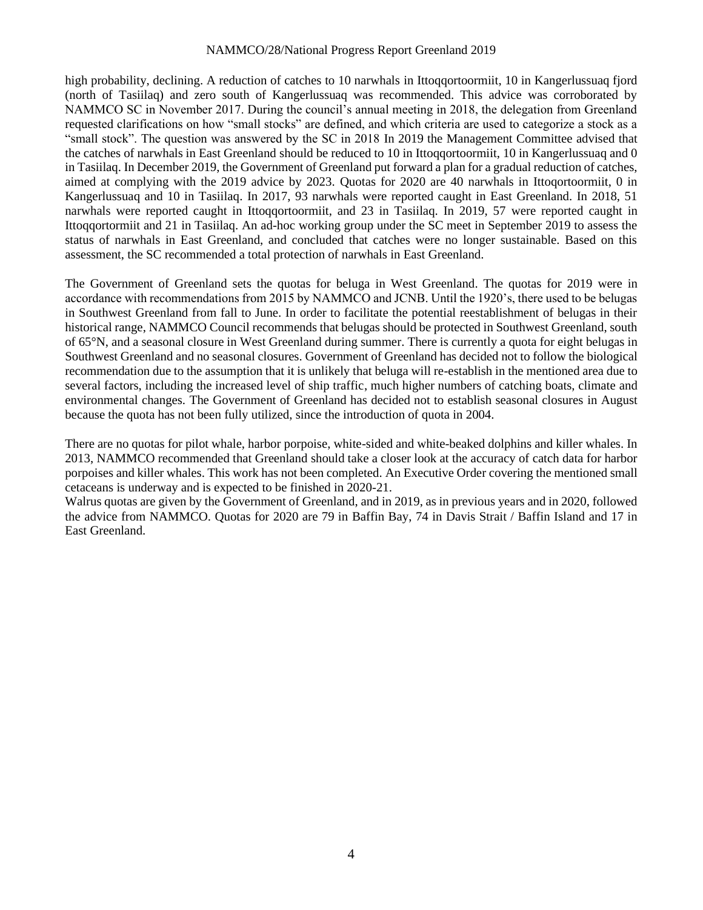high probability, declining. A reduction of catches to 10 narwhals in Ittoqqortoormiit, 10 in Kangerlussuaq fjord (north of Tasiilaq) and zero south of Kangerlussuaq was recommended. This advice was corroborated by NAMMCO SC in November 2017. During the council's annual meeting in 2018, the delegation from Greenland requested clarifications on how "small stocks" are defined, and which criteria are used to categorize a stock as a "small stock". The question was answered by the SC in 2018 In 2019 the Management Committee advised that the catches of narwhals in East Greenland should be reduced to 10 in Ittoqqortoormiit, 10 in Kangerlussuaq and 0 in Tasiilaq. In December 2019, the Government of Greenland put forward a plan for a gradual reduction of catches, aimed at complying with the 2019 advice by 2023. Quotas for 2020 are 40 narwhals in Ittoqortoormiit, 0 in Kangerlussuaq and 10 in Tasiilaq. In 2017, 93 narwhals were reported caught in East Greenland. In 2018, 51 narwhals were reported caught in Ittoqqortoormiit, and 23 in Tasiilaq. In 2019, 57 were reported caught in Ittoqqortormiit and 21 in Tasiilaq. An ad-hoc working group under the SC meet in September 2019 to assess the status of narwhals in East Greenland, and concluded that catches were no longer sustainable. Based on this assessment, the SC recommended a total protection of narwhals in East Greenland.

The Government of Greenland sets the quotas for beluga in West Greenland. The quotas for 2019 were in accordance with recommendations from 2015 by NAMMCO and JCNB. Until the 1920's, there used to be belugas in Southwest Greenland from fall to June. In order to facilitate the potential reestablishment of belugas in their historical range, NAMMCO Council recommends that belugas should be protected in Southwest Greenland, south of 65°N, and a seasonal closure in West Greenland during summer. There is currently a quota for eight belugas in Southwest Greenland and no seasonal closures. Government of Greenland has decided not to follow the biological recommendation due to the assumption that it is unlikely that beluga will re-establish in the mentioned area due to several factors, including the increased level of ship traffic, much higher numbers of catching boats, climate and environmental changes. The Government of Greenland has decided not to establish seasonal closures in August because the quota has not been fully utilized, since the introduction of quota in 2004.

There are no quotas for pilot whale, harbor porpoise, white-sided and white-beaked dolphins and killer whales. In 2013, NAMMCO recommended that Greenland should take a closer look at the accuracy of catch data for harbor porpoises and killer whales. This work has not been completed. An Executive Order covering the mentioned small cetaceans is underway and is expected to be finished in 2020-21.

Walrus quotas are given by the Government of Greenland, and in 2019, as in previous years and in 2020, followed the advice from NAMMCO. Quotas for 2020 are 79 in Baffin Bay, 74 in Davis Strait / Baffin Island and 17 in East Greenland.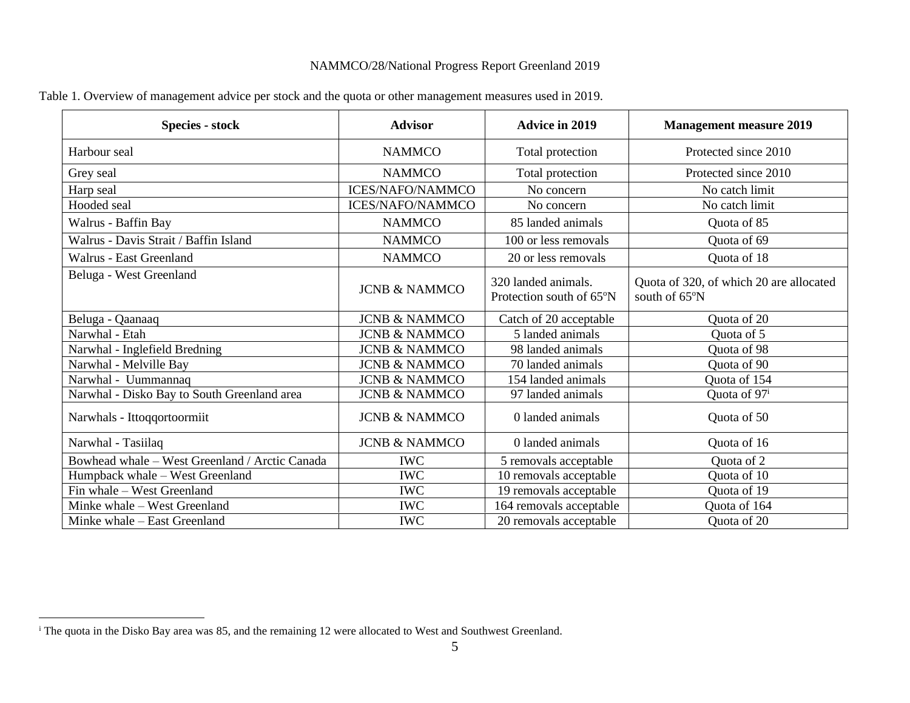| <b>Species - stock</b>                         | <b>Advisor</b>           | <b>Advice in 2019</b>                           | <b>Management measure 2019</b>                           |
|------------------------------------------------|--------------------------|-------------------------------------------------|----------------------------------------------------------|
| Harbour seal                                   | <b>NAMMCO</b>            | Total protection                                | Protected since 2010                                     |
| Grey seal                                      | <b>NAMMCO</b>            | Total protection                                | Protected since 2010                                     |
| Harp seal                                      | <b>ICES/NAFO/NAMMCO</b>  | No concern                                      | No catch limit                                           |
| Hooded seal                                    | <b>ICES/NAFO/NAMMCO</b>  | No concern                                      | No catch limit                                           |
| Walrus - Baffin Bay                            | <b>NAMMCO</b>            | 85 landed animals                               | Quota of 85                                              |
| Walrus - Davis Strait / Baffin Island          | <b>NAMMCO</b>            | 100 or less removals                            | Quota of 69                                              |
| Walrus - East Greenland                        | <b>NAMMCO</b>            | 20 or less removals                             | Quota of 18                                              |
| Beluga - West Greenland                        | <b>JCNB &amp; NAMMCO</b> | 320 landed animals.<br>Protection south of 65°N | Quota of 320, of which 20 are allocated<br>south of 65°N |
| Beluga - Qaanaaq                               | <b>JCNB &amp; NAMMCO</b> | Catch of 20 acceptable                          | Ouota of 20                                              |
| Narwhal - Etah                                 | <b>JCNB &amp; NAMMCO</b> | 5 landed animals                                | Quota of 5                                               |
| Narwhal - Inglefield Bredning                  | <b>JCNB &amp; NAMMCO</b> | 98 landed animals                               | Quota of 98                                              |
| Narwhal - Melville Bay                         | <b>JCNB &amp; NAMMCO</b> | 70 landed animals                               | Quota of 90                                              |
| Narwhal - Uummannaq                            | <b>JCNB &amp; NAMMCO</b> | 154 landed animals                              | Quota of 154                                             |
| Narwhal - Disko Bay to South Greenland area    | <b>JCNB &amp; NAMMCO</b> | 97 landed animals                               | Quota of 97 <sup>i</sup>                                 |
| Narwhals - Ittoqqortoormiit                    | <b>JCNB &amp; NAMMCO</b> | 0 landed animals                                | Quota of 50                                              |
| Narwhal - Tasiilaq                             | <b>JCNB &amp; NAMMCO</b> | 0 landed animals                                | Quota of 16                                              |
| Bowhead whale – West Greenland / Arctic Canada | <b>IWC</b>               | 5 removals acceptable                           | Quota of 2                                               |
| Humpback whale - West Greenland                | <b>IWC</b>               | 10 removals acceptable                          | Quota of 10                                              |
| Fin whale - West Greenland                     | <b>IWC</b>               | 19 removals acceptable                          | Quota of 19                                              |
| Minke whale - West Greenland                   | <b>IWC</b>               | 164 removals acceptable                         | Quota of 164                                             |
| Minke whale - East Greenland                   | <b>IWC</b>               | 20 removals acceptable                          | Quota of 20                                              |

# Table 1. Overview of management advice per stock and the quota or other management measures used in 2019.

<sup>i</sup> The quota in the Disko Bay area was 85, and the remaining 12 were allocated to West and Southwest Greenland.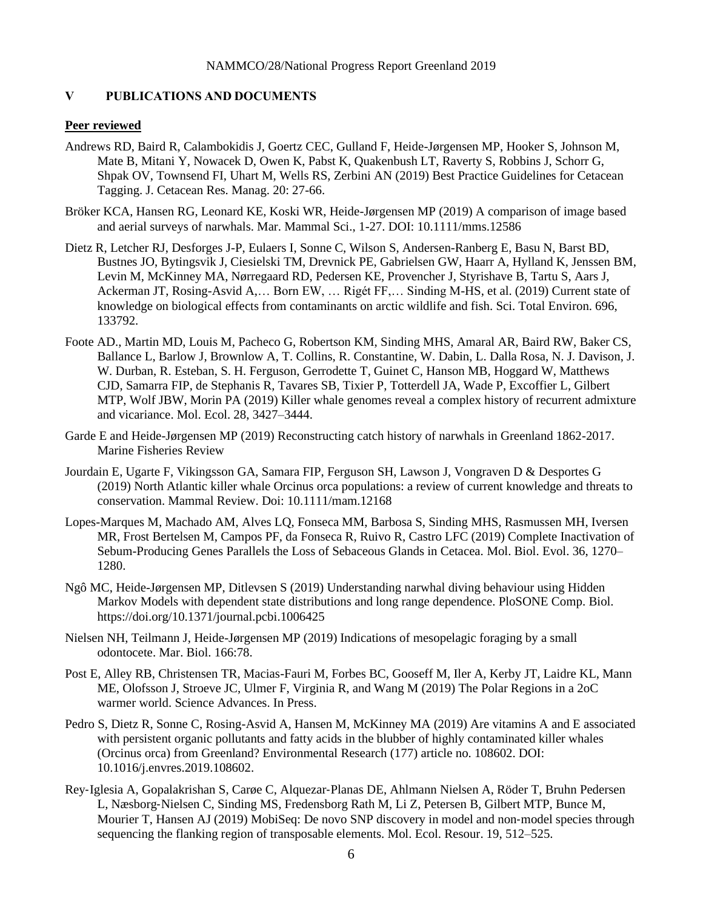## **V PUBLICATIONS AND DOCUMENTS**

#### **Peer reviewed**

- Andrews RD, Baird R, Calambokidis J, Goertz CEC, Gulland F, Heide-Jørgensen MP, Hooker S, Johnson M, Mate B, Mitani Y, Nowacek D, Owen K, Pabst K, Quakenbush LT, Raverty S, Robbins J, Schorr G, Shpak OV, Townsend FI, Uhart M, Wells RS, Zerbini AN (2019) Best Practice Guidelines for Cetacean Tagging. J. Cetacean Res. Manag. 20: 27-66.
- Bröker KCA, Hansen RG, Leonard KE, Koski WR, Heide-Jørgensen MP (2019) A comparison of image based and aerial surveys of narwhals. Mar. Mammal Sci., 1-27. DOI: 10.1111/mms.12586
- Dietz R, Letcher RJ, Desforges J-P, Eulaers I, Sonne C, Wilson S, Andersen-Ranberg E, Basu N, Barst BD, Bustnes JO, Bytingsvik J, Ciesielski TM, Drevnick PE, Gabrielsen GW, Haarr A, Hylland K, Jenssen BM, Levin M, McKinney MA, Nørregaard RD, Pedersen KE, Provencher J, Styrishave B, Tartu S, Aars J, Ackerman JT, Rosing-Asvid A,… Born EW, … Rigét FF,… Sinding M-HS, et al. (2019) Current state of knowledge on biological effects from contaminants on arctic wildlife and fish. Sci. Total Environ. 696, 133792.
- Foote AD., Martin MD, Louis M, Pacheco G, Robertson KM, Sinding MHS, Amaral AR, Baird RW, Baker CS, Ballance L, Barlow J, Brownlow A, T. Collins, R. Constantine, W. Dabin, L. Dalla Rosa, N. J. Davison, J. W. Durban, R. Esteban, S. H. Ferguson, Gerrodette T, Guinet C, Hanson MB, Hoggard W, Matthews CJD, Samarra FIP, de Stephanis R, Tavares SB, Tixier P, Totterdell JA, Wade P, Excoffier L, Gilbert MTP, Wolf JBW, Morin PA (2019) Killer whale genomes reveal a complex history of recurrent admixture and vicariance. Mol. Ecol. 28, 3427–3444.
- Garde E and Heide-Jørgensen MP (2019) Reconstructing catch history of narwhals in Greenland 1862-2017. Marine Fisheries Review
- Jourdain E, Ugarte F, Vikingsson GA, Samara FIP, Ferguson SH, Lawson J, Vongraven D & Desportes G (2019) North Atlantic killer whale Orcinus orca populations: a review of current knowledge and threats to conservation. Mammal Review. Doi: 10.1111/mam.12168
- Lopes-Marques M, Machado AM, Alves LQ, Fonseca MM, Barbosa S, Sinding MHS, Rasmussen MH, Iversen MR, Frost Bertelsen M, Campos PF, da Fonseca R, Ruivo R, Castro LFC (2019) Complete Inactivation of Sebum-Producing Genes Parallels the Loss of Sebaceous Glands in Cetacea. Mol. Biol. Evol. 36, 1270– 1280.
- Ngô MC, Heide-Jørgensen MP, Ditlevsen S (2019) Understanding narwhal diving behaviour using Hidden Markov Models with dependent state distributions and long range dependence. PloSONE Comp. Biol. https://doi.org/10.1371/journal.pcbi.1006425
- Nielsen NH, Teilmann J, Heide-Jørgensen MP (2019) Indications of mesopelagic foraging by a small odontocete. Mar. Biol. 166:78.
- Post E, Alley RB, Christensen TR, Macias-Fauri M, Forbes BC, Gooseff M, Iler A, Kerby JT, Laidre KL, Mann ME, Olofsson J, Stroeve JC, Ulmer F, Virginia R, and Wang M (2019) The Polar Regions in a 2oC warmer world. Science Advances. In Press.
- Pedro S, Dietz R, Sonne C, Rosing-Asvid A, Hansen M, McKinney MA (2019) Are vitamins A and E associated with persistent organic pollutants and fatty acids in the blubber of highly contaminated killer whales (Orcinus orca) from Greenland? Environmental Research (177) article no. 108602. DOI: 10.1016/j.envres.2019.108602.
- Rey‐Iglesia A, Gopalakrishan S, Carøe C, Alquezar‐Planas DE, Ahlmann Nielsen A, Röder T, Bruhn Pedersen L, Næsborg‐Nielsen C, Sinding MS, Fredensborg Rath M, Li Z, Petersen B, Gilbert MTP, Bunce M, Mourier T, Hansen AJ (2019) MobiSeq: De novo SNP discovery in model and non-model species through sequencing the flanking region of transposable elements. Mol. Ecol. Resour. 19, 512–525.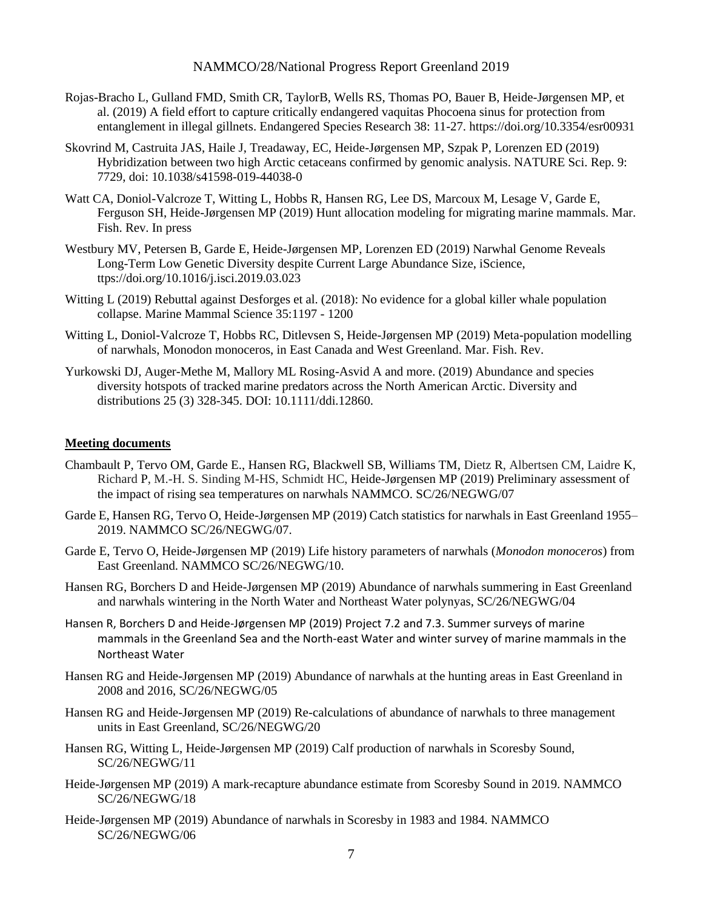- Rojas-Bracho L, Gulland FMD, Smith CR, TaylorB, Wells RS, Thomas PO, Bauer B, Heide-Jørgensen MP, et al. (2019) A field effort to capture critically endangered vaquitas Phocoena sinus for protection from entanglement in illegal gillnets. Endangered Species Research 38: 11-27. https://doi.org/10.3354/esr00931
- Skovrind M, Castruita JAS, Haile J, Treadaway, EC, Heide-Jørgensen MP, Szpak P, Lorenzen ED (2019) Hybridization between two high Arctic cetaceans confirmed by genomic analysis. NATURE Sci. Rep. 9: 7729, doi: 10.1038/s41598-019-44038-0
- Watt CA, Doniol-Valcroze T, Witting L, Hobbs R, Hansen RG, Lee DS, Marcoux M, Lesage V, Garde E, Ferguson SH, Heide-Jørgensen MP (2019) Hunt allocation modeling for migrating marine mammals. Mar. Fish. Rev. In press
- Westbury MV, Petersen B, Garde E, Heide-Jørgensen MP, Lorenzen ED (2019) Narwhal Genome Reveals Long-Term Low Genetic Diversity despite Current Large Abundance Size, iScience, ttps://doi.org/10.1016/j.isci.2019.03.023
- Witting L (2019) Rebuttal against Desforges et al. (2018): No evidence for a global killer whale population collapse. Marine Mammal Science 35:1197 - 1200
- Witting L, Doniol-Valcroze T, Hobbs RC, Ditlevsen S, Heide-Jørgensen MP (2019) Meta-population modelling of narwhals, Monodon monoceros, in East Canada and West Greenland. Mar. Fish. Rev.
- Yurkowski DJ, Auger-Methe M, Mallory ML Rosing-Asvid A and more. (2019) Abundance and species diversity hotspots of tracked marine predators across the North American Arctic. Diversity and distributions 25 (3) 328-345. DOI: 10.1111/ddi.12860.

#### **Meeting documents**

- Chambault P, Tervo OM, Garde E., Hansen RG, Blackwell SB, Williams TM, Dietz R, Albertsen CM, Laidre K, Richard P, M.-H. S. Sinding M-HS, Schmidt HC, Heide-Jørgensen MP (2019) Preliminary assessment of the impact of rising sea temperatures on narwhals NAMMCO. SC/26/NEGWG/07
- Garde E, Hansen RG, Tervo O, Heide-Jørgensen MP (2019) Catch statistics for narwhals in East Greenland 1955– 2019. NAMMCO SC/26/NEGWG/07.
- Garde E, Tervo O, Heide-Jørgensen MP (2019) Life history parameters of narwhals (*Monodon monoceros*) from East Greenland. NAMMCO SC/26/NEGWG/10.
- Hansen RG, Borchers D and Heide-Jørgensen MP (2019) Abundance of narwhals summering in East Greenland and narwhals wintering in the North Water and Northeast Water polynyas, SC/26/NEGWG/04
- Hansen R, Borchers D and Heide-Jørgensen MP (2019) Project 7.2 and 7.3. Summer surveys of marine mammals in the Greenland Sea and the North-east Water and winter survey of marine mammals in the Northeast Water
- Hansen RG and Heide-Jørgensen MP (2019) Abundance of narwhals at the hunting areas in East Greenland in 2008 and 2016, SC/26/NEGWG/05
- Hansen RG and Heide-Jørgensen MP (2019) Re-calculations of abundance of narwhals to three management units in East Greenland, SC/26/NEGWG/20
- Hansen RG, Witting L, Heide-Jørgensen MP (2019) Calf production of narwhals in Scoresby Sound, SC/26/NEGWG/11
- Heide-Jørgensen MP (2019) A mark-recapture abundance estimate from Scoresby Sound in 2019. NAMMCO SC/26/NEGWG/18
- Heide-Jørgensen MP (2019) Abundance of narwhals in Scoresby in 1983 and 1984. NAMMCO SC/26/NEGWG/06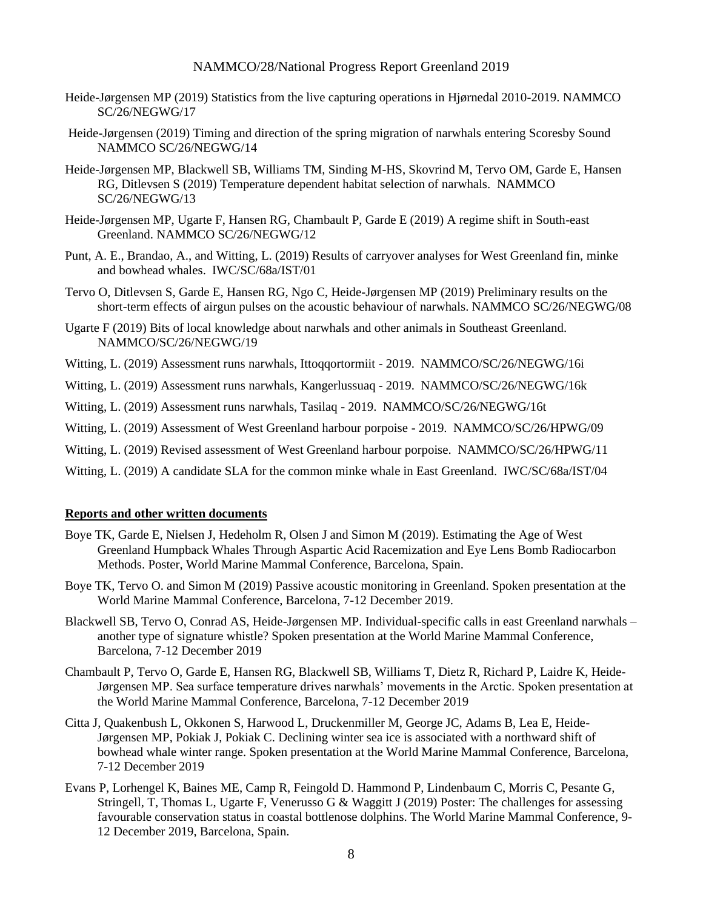- Heide-Jørgensen MP (2019) Statistics from the live capturing operations in Hjørnedal 2010-2019. NAMMCO SC/26/NEGWG/17
- Heide-Jørgensen (2019) Timing and direction of the spring migration of narwhals entering Scoresby Sound NAMMCO SC/26/NEGWG/14
- Heide-Jørgensen MP, Blackwell SB, Williams TM, Sinding M-HS, Skovrind M, Tervo OM, Garde E, Hansen RG, Ditlevsen S (2019) Temperature dependent habitat selection of narwhals. NAMMCO SC/26/NEGWG/13
- Heide-Jørgensen MP, Ugarte F, Hansen RG, Chambault P, Garde E (2019) A regime shift in South-east Greenland. NAMMCO SC/26/NEGWG/12
- Punt, A. E., Brandao, A., and Witting, L. (2019) Results of carryover analyses for West Greenland fin, minke and bowhead whales. IWC/SC/68a/IST/01
- Tervo O, Ditlevsen S, Garde E, Hansen RG, Ngo C, Heide-Jørgensen MP (2019) Preliminary results on the short-term effects of airgun pulses on the acoustic behaviour of narwhals. NAMMCO SC/26/NEGWG/08
- Ugarte F (2019) Bits of local knowledge about narwhals and other animals in Southeast Greenland. NAMMCO/SC/26/NEGWG/19
- Witting, L. (2019) Assessment runs narwhals, Ittoqqortormiit 2019. NAMMCO/SC/26/NEGWG/16i
- Witting, L. (2019) Assessment runs narwhals, Kangerlussuaq 2019. NAMMCO/SC/26/NEGWG/16k
- Witting, L. (2019) Assessment runs narwhals, Tasilaq 2019. NAMMCO/SC/26/NEGWG/16t
- Witting, L. (2019) Assessment of West Greenland harbour porpoise 2019. NAMMCO/SC/26/HPWG/09
- Witting, L. (2019) Revised assessment of West Greenland harbour porpoise. NAMMCO/SC/26/HPWG/11
- Witting, L. (2019) A candidate SLA for the common minke whale in East Greenland. IWC/SC/68a/IST/04

#### **Reports and other written documents**

- Boye TK, Garde E, Nielsen J, Hedeholm R, Olsen J and Simon M (2019). Estimating the Age of West Greenland Humpback Whales Through Aspartic Acid Racemization and Eye Lens Bomb Radiocarbon Methods. Poster, World Marine Mammal Conference, Barcelona, Spain.
- Boye TK, Tervo O. and Simon M (2019) Passive acoustic monitoring in Greenland. Spoken presentation at the World Marine Mammal Conference, Barcelona, 7-12 December 2019.
- Blackwell SB, Tervo O, Conrad AS, Heide-Jørgensen MP. Individual-specific calls in east Greenland narwhals another type of signature whistle? Spoken presentation at the World Marine Mammal Conference, Barcelona, 7-12 December 2019
- Chambault P, Tervo O, Garde E, Hansen RG, Blackwell SB, Williams T, Dietz R, Richard P, Laidre K, Heide-Jørgensen MP. Sea surface temperature drives narwhals' movements in the Arctic. Spoken presentation at the World Marine Mammal Conference, Barcelona, 7-12 December 2019
- Citta J, Quakenbush L, Okkonen S, Harwood L, Druckenmiller M, George JC, Adams B, Lea E, Heide-Jørgensen MP, Pokiak J, Pokiak C. Declining winter sea ice is associated with a northward shift of bowhead whale winter range. Spoken presentation at the World Marine Mammal Conference, Barcelona, 7-12 December 2019
- Evans P, Lorhengel K, Baines ME, Camp R, Feingold D. Hammond P, Lindenbaum C, Morris C, Pesante G, Stringell, T, Thomas L, Ugarte F, Venerusso G & Waggitt J (2019) Poster: The challenges for assessing favourable conservation status in coastal bottlenose dolphins. The World Marine Mammal Conference, 9- 12 December 2019, Barcelona, Spain.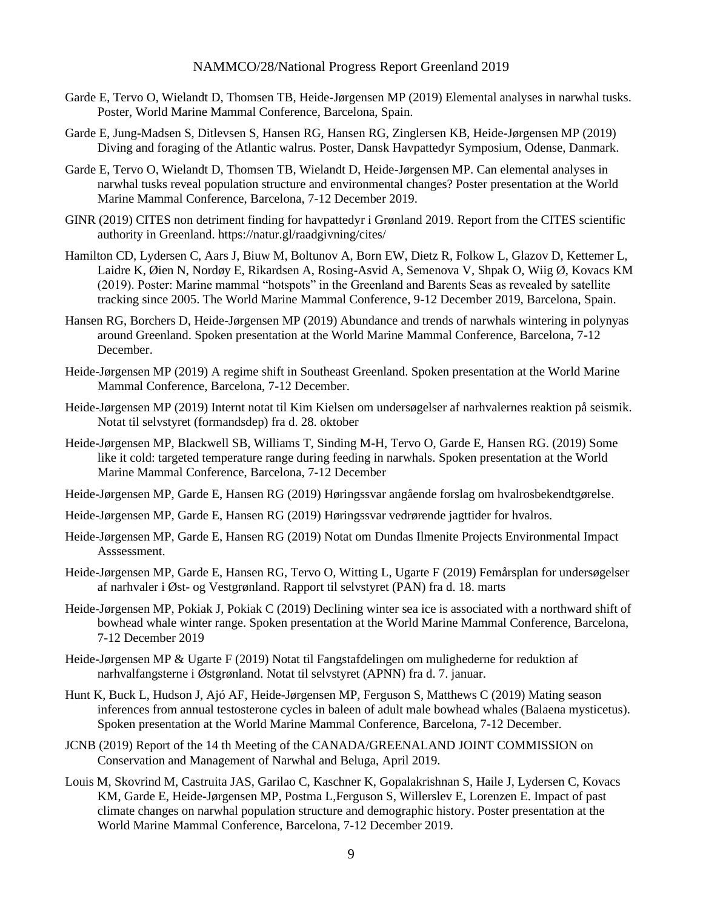- Garde E, Tervo O, Wielandt D, Thomsen TB, Heide-Jørgensen MP (2019) Elemental analyses in narwhal tusks. Poster, World Marine Mammal Conference, Barcelona, Spain.
- Garde E, Jung-Madsen S, Ditlevsen S, Hansen RG, Hansen RG, Zinglersen KB, Heide-Jørgensen MP (2019) Diving and foraging of the Atlantic walrus. Poster, Dansk Havpattedyr Symposium, Odense, Danmark.
- Garde E, Tervo O, Wielandt D, Thomsen TB, Wielandt D, Heide-Jørgensen MP. Can elemental analyses in narwhal tusks reveal population structure and environmental changes? Poster presentation at the World Marine Mammal Conference, Barcelona, 7-12 December 2019.
- GINR (2019) CITES non detriment finding for havpattedyr i Grønland 2019. Report from the CITES scientific authority in Greenland. https://natur.gl/raadgivning/cites/
- Hamilton CD, Lydersen C, Aars J, Biuw M, Boltunov A, Born EW, Dietz R, Folkow L, Glazov D, Kettemer L, Laidre K, Øien N, Nordøy E, Rikardsen A, Rosing-Asvid A, Semenova V, Shpak O, Wiig Ø, Kovacs KM (2019). Poster: Marine mammal "hotspots" in the Greenland and Barents Seas as revealed by satellite tracking since 2005. The World Marine Mammal Conference, 9-12 December 2019, Barcelona, Spain.
- Hansen RG, Borchers D, Heide-Jørgensen MP (2019) Abundance and trends of narwhals wintering in polynyas around Greenland. Spoken presentation at the World Marine Mammal Conference, Barcelona, 7-12 December.
- Heide-Jørgensen MP (2019) A regime shift in Southeast Greenland. Spoken presentation at the World Marine Mammal Conference, Barcelona, 7-12 December.
- Heide-Jørgensen MP (2019) Internt notat til Kim Kielsen om undersøgelser af narhvalernes reaktion på seismik. Notat til selvstyret (formandsdep) fra d. 28. oktober
- Heide-Jørgensen MP, Blackwell SB, Williams T, Sinding M-H, Tervo O, Garde E, Hansen RG. (2019) Some like it cold: targeted temperature range during feeding in narwhals. Spoken presentation at the World Marine Mammal Conference, Barcelona, 7-12 December
- Heide-Jørgensen MP, Garde E, Hansen RG (2019) Høringssvar angående forslag om hvalrosbekendtgørelse.
- Heide-Jørgensen MP, Garde E, Hansen RG (2019) Høringssvar vedrørende jagttider for hvalros.
- Heide-Jørgensen MP, Garde E, Hansen RG (2019) Notat om Dundas Ilmenite Projects Environmental Impact Asssessment.
- Heide-Jørgensen MP, Garde E, Hansen RG, Tervo O, Witting L, Ugarte F (2019) Femårsplan for undersøgelser af narhvaler i Øst- og Vestgrønland. Rapport til selvstyret (PAN) fra d. 18. marts
- Heide-Jørgensen MP, Pokiak J, Pokiak C (2019) Declining winter sea ice is associated with a northward shift of bowhead whale winter range. Spoken presentation at the World Marine Mammal Conference, Barcelona, 7-12 December 2019
- Heide-Jørgensen MP & Ugarte F (2019) Notat til Fangstafdelingen om mulighederne for reduktion af narhvalfangsterne i Østgrønland. Notat til selvstyret (APNN) fra d. 7. januar.
- Hunt K, Buck L, Hudson J, Ajó AF, Heide-Jørgensen MP, Ferguson S, Matthews C (2019) Mating season inferences from annual testosterone cycles in baleen of adult male bowhead whales (Balaena mysticetus). Spoken presentation at the World Marine Mammal Conference, Barcelona, 7-12 December.
- JCNB (2019) Report of the 14 th Meeting of the CANADA/GREENALAND JOINT COMMISSION on Conservation and Management of Narwhal and Beluga, April 2019.
- Louis M, Skovrind M, Castruita JAS, Garilao C, Kaschner K, Gopalakrishnan S, Haile J, Lydersen C, Kovacs KM, Garde E, Heide-Jørgensen MP, Postma L,Ferguson S, Willerslev E, Lorenzen E. Impact of past climate changes on narwhal population structure and demographic history. Poster presentation at the World Marine Mammal Conference, Barcelona, 7-12 December 2019.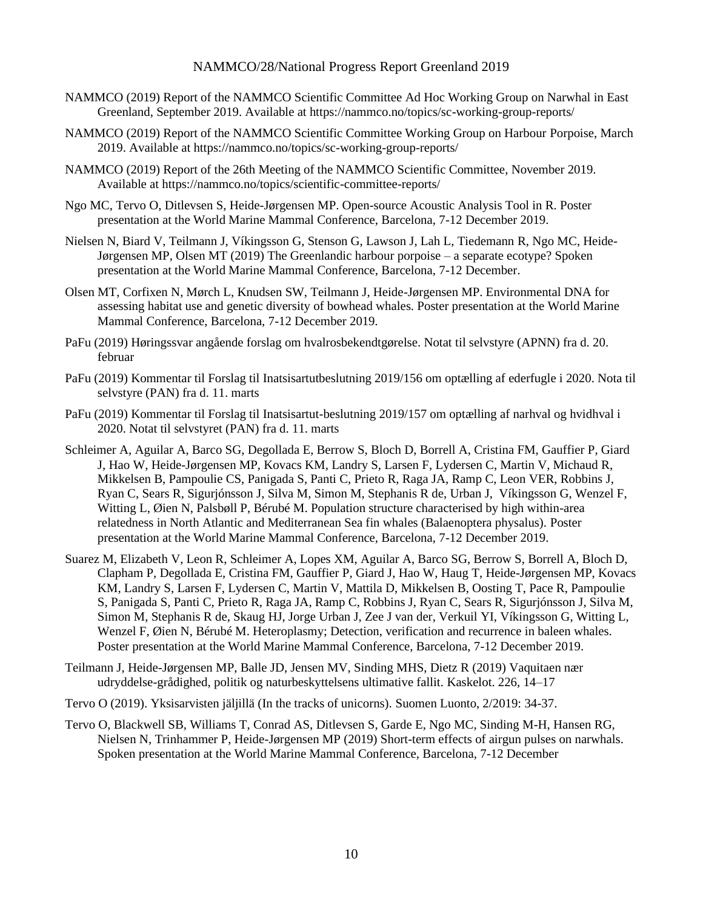- NAMMCO (2019) Report of the NAMMCO Scientific Committee Ad Hoc Working Group on Narwhal in East Greenland, September 2019. Available at https://nammco.no/topics/sc-working-group-reports/
- NAMMCO (2019) Report of the NAMMCO Scientific Committee Working Group on Harbour Porpoise, March 2019. Available at https://nammco.no/topics/sc-working-group-reports/
- NAMMCO (2019) Report of the 26th Meeting of the NAMMCO Scientific Committee, November 2019. Available at https://nammco.no/topics/scientific-committee-reports/
- Ngo MC, Tervo O, Ditlevsen S, Heide-Jørgensen MP. Open-source Acoustic Analysis Tool in R. Poster presentation at the World Marine Mammal Conference, Barcelona, 7-12 December 2019.
- Nielsen N, Biard V, Teilmann J, Víkingsson G, Stenson G, Lawson J, Lah L, Tiedemann R, Ngo MC, Heide-Jørgensen MP, Olsen MT (2019) The Greenlandic harbour porpoise – a separate ecotype? Spoken presentation at the World Marine Mammal Conference, Barcelona, 7-12 December.
- Olsen MT, Corfixen N, Mørch L, Knudsen SW, Teilmann J, Heide-Jørgensen MP. Environmental DNA for assessing habitat use and genetic diversity of bowhead whales. Poster presentation at the World Marine Mammal Conference, Barcelona, 7-12 December 2019.
- PaFu (2019) Høringssvar angående forslag om hvalrosbekendtgørelse. Notat til selvstyre (APNN) fra d. 20. februar
- PaFu (2019) Kommentar til Forslag til Inatsisartutbeslutning 2019/156 om optælling af ederfugle i 2020. Nota til selvstyre (PAN) fra d. 11. marts
- PaFu (2019) Kommentar til Forslag til Inatsisartut-beslutning 2019/157 om optælling af narhval og hvidhval i 2020. Notat til selvstyret (PAN) fra d. 11. marts
- Schleimer A, Aguilar A, Barco SG, Degollada E, Berrow S, Bloch D, Borrell A, Cristina FM, Gauffier P, Giard J, Hao W, Heide-Jørgensen MP, Kovacs KM, Landry S, Larsen F, Lydersen C, Martin V, Michaud R, Mikkelsen B, Pampoulie CS, Panigada S, Panti C, Prieto R, Raga JA, Ramp C, Leon VER, Robbins J, Ryan C, Sears R, Sigurjónsson J, Silva M, Simon M, Stephanis R de, Urban J, Víkingsson G, Wenzel F, Witting L, Øien N, Palsbøll P, Bérubé M. Population structure characterised by high within-area relatedness in North Atlantic and Mediterranean Sea fin whales (Balaenoptera physalus). Poster presentation at the World Marine Mammal Conference, Barcelona, 7-12 December 2019.
- Suarez M, Elizabeth V, Leon R, Schleimer A, Lopes XM, Aguilar A, Barco SG, Berrow S, Borrell A, Bloch D, Clapham P, Degollada E, Cristina FM, Gauffier P, Giard J, Hao W, Haug T, Heide-Jørgensen MP, Kovacs KM, Landry S, Larsen F, Lydersen C, Martin V, Mattila D, Mikkelsen B, Oosting T, Pace R, Pampoulie S, Panigada S, Panti C, Prieto R, Raga JA, Ramp C, Robbins J, Ryan C, Sears R, Sigurjónsson J, Silva M, Simon M, Stephanis R de, Skaug HJ, Jorge Urban J, Zee J van der, Verkuil YI, Víkingsson G, Witting L, Wenzel F, Øien N, Bérubé M. Heteroplasmy; Detection, verification and recurrence in baleen whales. Poster presentation at the World Marine Mammal Conference, Barcelona, 7-12 December 2019.
- Teilmann J, Heide-Jørgensen MP, Balle JD, Jensen MV, Sinding MHS, Dietz R (2019) Vaquitaen nær udryddelse-grådighed, politik og naturbeskyttelsens ultimative fallit. Kaskelot. 226, 14–17
- Tervo O (2019). Yksisarvisten jäljillä (In the tracks of unicorns). Suomen Luonto, 2/2019: 34-37.
- Tervo O, Blackwell SB, Williams T, Conrad AS, Ditlevsen S, Garde E, Ngo MC, Sinding M-H, Hansen RG, Nielsen N, Trinhammer P, Heide-Jørgensen MP (2019) Short-term effects of airgun pulses on narwhals. Spoken presentation at the World Marine Mammal Conference, Barcelona, 7-12 December